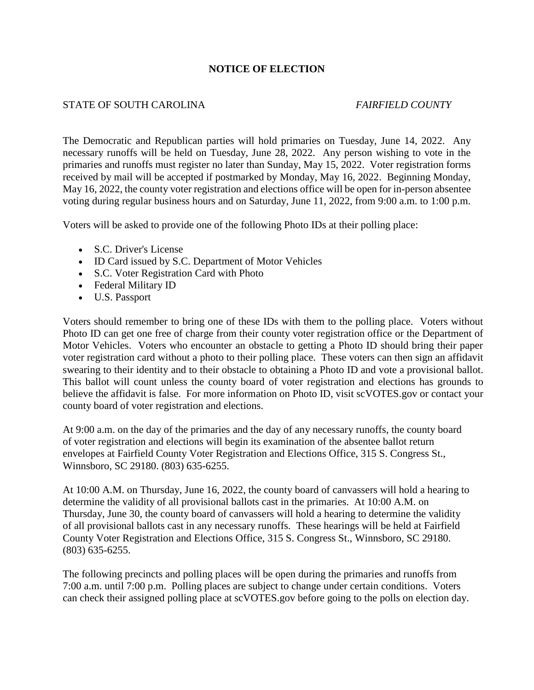## **NOTICE OF ELECTION**

### STATE OF SOUTH CAROLINA *FAIRFIELD COUNTY*

The Democratic and Republican parties will hold primaries on Tuesday, June 14, 2022. Any necessary runoffs will be held on Tuesday, June 28, 2022. Any person wishing to vote in the primaries and runoffs must register no later than Sunday, May 15, 2022. Voter registration forms received by mail will be accepted if postmarked by Monday, May 16, 2022. Beginning Monday, May 16, 2022, the county voter registration and elections office will be open for in-person absentee voting during regular business hours and on Saturday, June 11, 2022, from 9:00 a.m. to 1:00 p.m.

Voters will be asked to provide one of the following Photo IDs at their polling place:

- S.C. Driver's License
- ID Card issued by S.C. Department of Motor Vehicles
- S.C. Voter Registration Card with Photo
- Federal Military ID
- U.S. Passport

Voters should remember to bring one of these IDs with them to the polling place. Voters without Photo ID can get one free of charge from their county voter registration office or the Department of Motor Vehicles. Voters who encounter an obstacle to getting a Photo ID should bring their paper voter registration card without a photo to their polling place. These voters can then sign an affidavit swearing to their identity and to their obstacle to obtaining a Photo ID and vote a provisional ballot. This ballot will count unless the county board of voter registration and elections has grounds to believe the affidavit is false. For more information on Photo ID, visit scVOTES.gov or contact your county board of voter registration and elections.

At 9:00 a.m. on the day of the primaries and the day of any necessary runoffs, the county board of voter registration and elections will begin its examination of the absentee ballot return envelopes at Fairfield County Voter Registration and Elections Office, 315 S. Congress St., Winnsboro, SC 29180. (803) 635-6255.

At 10:00 A.M. on Thursday, June 16, 2022, the county board of canvassers will hold a hearing to determine the validity of all provisional ballots cast in the primaries. At 10:00 A.M. on Thursday, June 30, the county board of canvassers will hold a hearing to determine the validity of all provisional ballots cast in any necessary runoffs. These hearings will be held at Fairfield County Voter Registration and Elections Office, 315 S. Congress St., Winnsboro, SC 29180. (803) 635-6255.

The following precincts and polling places will be open during the primaries and runoffs from 7:00 a.m. until 7:00 p.m. Polling places are subject to change under certain conditions. Voters can check their assigned polling place at scVOTES.gov before going to the polls on election day.